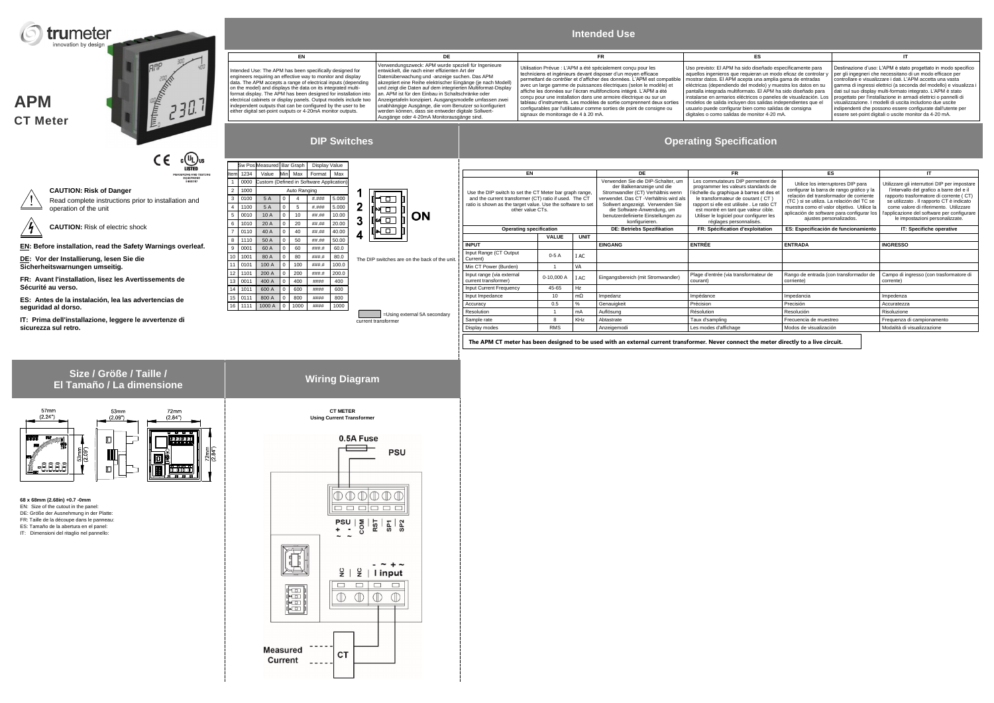**APM**

**CT Meter**

**CAUTION: Risk of Danger** Read complete instructions prior to installation and

operation of the unit

**CAUTION:** Risk of electric shock

**EN: Before installation, read the Safety Warnings overleaf.**

**DE: Vor der Installierung, lesen Sie die Sicherheitswarnungen umseitig.**

**FR: Avant l'installation, lisez les Avertissements de Sécurité au verso.**

**ES: Antes de la instalación, lea las advertencias de seguridad al dorso.**

**IT: Prima dell'installazione, leggere le avvertenze di sicurezza sul retro.**



# **Intended Use**

tended Use: The APM has been specifically designed for

erwendungszweck: APM wurde speziell für Ingenieure entwickelt, die nach einer effizienten Art der Datenüberwachung und -anzeige suchen. Das APM akzeptiert eine Reihe elektrischer Eingänge (je nach Modell) und zeigt die Daten auf dem integrierten Multiformat-Display an. APM ist für den Einbau in Schaltschränke oder Anzeigetafeln konzipiert. Ausgangsmodelle umfassen zwei unabhängige Ausgänge, die vom Benutzer so konfiguriert werden können, dass sie entweder digitale Sollwert-Ausgänge oder 4-20mA Monitorausgänge sind.

engineers requiring an effective way to monitor and display data. The APM accepts a range of electrical inputs (depending on the model) and displays the data on its integrated multi-format display. The APM has been designed for installation into electrical cabinets or display panels. Output models include two independent outputs that can be configured by the user to be either digital set-point outputs or 4-20mA monitor outputs.

Utilisation Prévue : L'APM a été spécialement conçu pour les techniciens et ingénieurs devant disposer d'un moyen efficace permettant de contrôler et d'afficher des données. L'APM est compatible vec un large gamme de puissances électriques (selon le modèle) et affiche les données sur l'écran multifonctions intégré. L'APM a été conçu pour une installation dans une armoire électrique ou sur un<br>tableau d'instruments. Les modèles de sortie comprennent deux sorties<br>configurables par l'utilisateur comme sorties de point de consigne ou signaux de monitorage de 4 à 20 mA.

**EN DE FR ES IT** Uso previsto: El APM ha sido diseñado específicamente para aquellos ingenieros que requieran un modo eficaz de controlar y mostrar datos. El APM acepta una amplia gama de entradas eléctricas (dependiendo del modelo) y muestra los datos en su pantalla integrada multiformato. El APM ha sido diseñado para nstalarse en armarios eléctricos o paneles de visualización. Los modelos de salida incluyen dos salidas independientes que el usuario puede configurar bien como salidas de consigna digitales o como salidas de monitor 4-20 mA. Destinazione d'uso: L'APM è stato progettato in modo specifico per gli ingegneri che necessitano di un modo efficace per controllare e visualizzare i dati. L'APM accetta una vasta gamma di ingressi elettrici (a seconda del modello) e visualizza i dati sul suo display multi-formato integrato. L'APM è stato progettato per l'installazione in armadi elettrici o pannelli di visualizzazione. I modelli di uscita includono due uscite indipendenti che possono essere configurate dall'utente per essere set-point digitali o uscite monitor da 4-20 mA.

# **DIP Switches Operating Specification**

C (U<sub>L</sub>) US<br>LISTED  $C \in$ 



## **Size / Größe / Taille / El Tamaño / La dimension**



The DIP switches are on the back of the unit.

 =Using external 5A secondary current transformer

Sw Pos Measured Bar Graph Display Value Item 1234 Value Min Max Format Max



| 1  | 0000 | Custom (Defined in Software Application) |   |     |       |       |  |
|----|------|------------------------------------------|---|-----|-------|-------|--|
| 2  | 1000 | Auto Ranging                             |   |     |       |       |  |
| 3  | 0100 | 5 A                                      | 0 | 4   | #.### | 5.000 |  |
| 4  | 1100 | 5A                                       | 0 | 5   | #.### | 5.000 |  |
| 5  | 0010 | 10 A                                     | 0 | 10  | ##.## | 10.00 |  |
| 6  | 1010 | 20 A                                     | 0 | 20  | ##.## | 20.00 |  |
| 7  | 0110 | 40 A                                     | 0 | 40  | ##.## | 40.00 |  |
| 8  | 1110 | 50 A                                     | 0 | 50  | ##.## | 50.00 |  |
| 9  | 0001 | 60 A                                     | 0 | 60  | ###.# | 60.0  |  |
| 10 | 1001 | 80 A                                     | 0 | 80  | ###.# | 80.0  |  |
| 11 | 0101 | 100 A                                    | 0 | 100 | ###.# | 100.0 |  |
| 12 | 1101 | 200 A                                    | 0 | 200 | ###.# | 200.0 |  |
| 13 | 0011 | 400 A                                    | 0 | 400 | ####  | 400   |  |
| 14 | 1011 | 600 A                                    | 0 | 600 | ####  | 600   |  |
| 15 | 0111 | 800 A                                    | 0 | 800 | ####  | 800   |  |

16 1111 1000 A 0 1000 #### 1000

|                                                                                                                                                                                                      |              |             | <b>DE</b>                                                                                                                                                                                                                                                                                                                                                                                                                                                                                                                                                                                               |                                                   |                                                                                                                                                                                                                                                                                                |                                                                                                                                                                                                                                                                                                               |  |
|------------------------------------------------------------------------------------------------------------------------------------------------------------------------------------------------------|--------------|-------------|---------------------------------------------------------------------------------------------------------------------------------------------------------------------------------------------------------------------------------------------------------------------------------------------------------------------------------------------------------------------------------------------------------------------------------------------------------------------------------------------------------------------------------------------------------------------------------------------------------|---------------------------------------------------|------------------------------------------------------------------------------------------------------------------------------------------------------------------------------------------------------------------------------------------------------------------------------------------------|---------------------------------------------------------------------------------------------------------------------------------------------------------------------------------------------------------------------------------------------------------------------------------------------------------------|--|
| EN                                                                                                                                                                                                   |              |             |                                                                                                                                                                                                                                                                                                                                                                                                                                                                                                                                                                                                         | <b>FR</b>                                         | ES                                                                                                                                                                                                                                                                                             | ΙT                                                                                                                                                                                                                                                                                                            |  |
| Use the DIP switch to set the CT Meter bar graph range,<br>and the current transformer (CT) ratio if used. The CT<br>ratio is shown as the target value. Use the software to set<br>other value CTs. |              |             | Verwenden Sie die DIP-Schalter, um<br>Les commutateurs DIP permettent de<br>programmer les valeurs standards de<br>der Balkenanzeige und die<br>l'échelle du graphique à barres et des et<br>Stromwandler (CT) Verhältnis wenn<br>verwendet. Das CT - Verhältnis wird als<br>le transformateur de courant (CT)<br>rapport si elle est utilisée . Le ratio CT<br>Sollwert angezeigt. Verwenden Sie<br>die Software-Anwendung, um<br>est montré en tant que valeur cible.<br>benutzerdefinierte Einstellungen zu<br>Utiliser le logiciel pour configurer les<br>konfigurieren.<br>réglages personnalisés. |                                                   | Utilice los interruptores DIP para<br>configurar la barra de rango gráfico y la<br>relación del transformador de corriente<br>(TC) si se utiliza. La relación del TC se<br>muestra como el valor objetivo. Utilice la<br>aplicación de software para configurar los<br>ajustes personalizados. | Utilizzare gli interruttori DIP per impostare<br>l'intervallo del grafico a barre del e il<br>rapporto trasformatore di corrente (CT)<br>se utilizzato. Il rapporto CT è indicato<br>come valore di riferimento. Utilizzare<br>l'applicazione del software per configurare<br>le impostazioni personalizzate. |  |
| <b>Operating specification</b>                                                                                                                                                                       |              |             | DE: Betriebs Spezifikation                                                                                                                                                                                                                                                                                                                                                                                                                                                                                                                                                                              | FR: Spécification d'exploitation                  | ES: Especificación de funcionamiento                                                                                                                                                                                                                                                           | IT: Specifiche operative                                                                                                                                                                                                                                                                                      |  |
|                                                                                                                                                                                                      | <b>VALUE</b> | <b>UNIT</b> |                                                                                                                                                                                                                                                                                                                                                                                                                                                                                                                                                                                                         |                                                   |                                                                                                                                                                                                                                                                                                |                                                                                                                                                                                                                                                                                                               |  |
| <b>INPUT</b>                                                                                                                                                                                         |              |             | <b>EINGANG</b>                                                                                                                                                                                                                                                                                                                                                                                                                                                                                                                                                                                          | <b>ENTRÉE</b>                                     | <b>ENTRADA</b>                                                                                                                                                                                                                                                                                 | <b>INGRESSO</b>                                                                                                                                                                                                                                                                                               |  |
| Input Range (CT Output<br>Current)                                                                                                                                                                   | $0-5A$       | I AC        |                                                                                                                                                                                                                                                                                                                                                                                                                                                                                                                                                                                                         |                                                   |                                                                                                                                                                                                                                                                                                |                                                                                                                                                                                                                                                                                                               |  |
| Min CT Power (Burden)                                                                                                                                                                                |              | VA          |                                                                                                                                                                                                                                                                                                                                                                                                                                                                                                                                                                                                         |                                                   |                                                                                                                                                                                                                                                                                                |                                                                                                                                                                                                                                                                                                               |  |
| Input range (via external<br>current transformer)                                                                                                                                                    | $0-10.000A$  | I AC        | Eingangsbereich (mit Stromwandler)                                                                                                                                                                                                                                                                                                                                                                                                                                                                                                                                                                      | Plage d'entrée (via transformateur de<br>courant) | Rango de entrada (con transformador de<br>corriente)                                                                                                                                                                                                                                           | Campo di ingresso (con trasformatore di<br>corrente)                                                                                                                                                                                                                                                          |  |
| Input Current Frequency                                                                                                                                                                              | 45-65        | Hz          |                                                                                                                                                                                                                                                                                                                                                                                                                                                                                                                                                                                                         |                                                   |                                                                                                                                                                                                                                                                                                |                                                                                                                                                                                                                                                                                                               |  |
| Input Impedance                                                                                                                                                                                      | 10           | $m\Omega$   | Impedanz                                                                                                                                                                                                                                                                                                                                                                                                                                                                                                                                                                                                | Impédance                                         | Impedancia                                                                                                                                                                                                                                                                                     | Impedenza                                                                                                                                                                                                                                                                                                     |  |
| Accuracy                                                                                                                                                                                             | 0.5          | %           | Genauigkeit                                                                                                                                                                                                                                                                                                                                                                                                                                                                                                                                                                                             | Précision                                         | Precisión                                                                                                                                                                                                                                                                                      | Accuratezza                                                                                                                                                                                                                                                                                                   |  |
| Resolution                                                                                                                                                                                           |              | mA          | Auflösung                                                                                                                                                                                                                                                                                                                                                                                                                                                                                                                                                                                               | Résolution                                        | Resolución                                                                                                                                                                                                                                                                                     | Risoluzione                                                                                                                                                                                                                                                                                                   |  |
| Sample rate                                                                                                                                                                                          | 8            | KHz         | Abtastrate                                                                                                                                                                                                                                                                                                                                                                                                                                                                                                                                                                                              | Taux d'sampling                                   | Frecuencia de muestreo                                                                                                                                                                                                                                                                         | Frequenza di campionamento                                                                                                                                                                                                                                                                                    |  |
| Display modes                                                                                                                                                                                        | <b>RMS</b>   |             | Anzeigemodi                                                                                                                                                                                                                                                                                                                                                                                                                                                                                                                                                                                             | Les modes d'affichage                             | Modos de visualización                                                                                                                                                                                                                                                                         | Modalità di visualizzazione                                                                                                                                                                                                                                                                                   |  |
|                                                                                                                                                                                                      |              |             |                                                                                                                                                                                                                                                                                                                                                                                                                                                                                                                                                                                                         |                                                   |                                                                                                                                                                                                                                                                                                |                                                                                                                                                                                                                                                                                                               |  |

**68 x 68mm (2.68in) +0.7 -0mm** EN: Size of the cutout in the panel: DE: Größe der Ausnehmung in der Platte: FR: Taille de la découpe dans le panneau:

- ES: Tamaño de la abertura en el panel:
- IT: Dimensioni del ritaglio nel pannello:

| ١e                                                                                                 | <b>Wiring Diagram</b>                                                                            |
|----------------------------------------------------------------------------------------------------|--------------------------------------------------------------------------------------------------|
| nm<br>$\frac{4}{)}$                                                                                | <b>CT METER</b><br><b>Using Current Transformer</b>                                              |
| ┳<br>$\frac{100000}{100000}$<br>$\frac{72 \text{mm}}{(2.84^{\circ})}$<br>$rac{1}{\Phi(\Phi,\Phi)}$ | 0.5A Fuse<br><b>PSU</b>                                                                          |
| $\overline{\mathbf{a}}$<br>E.                                                                      | $\mathbb{C}$<br>Œ<br>CIL.<br>$P SU   E$<br>+ - 0<br>$\frac{1}{2}$ is $\frac{1}{2}$               |
|                                                                                                    | $\frac{1}{2}$<br>$\frac{1}{2}$   linput<br>$\Box$<br>Г<br>$\mathbb O$<br>$\mathbb {C}$<br>Œ<br>Ш |
|                                                                                                    | <b>Measured</b><br><b>CT</b><br><b>Current</b>                                                   |

**The APM CT meter has been designed to be used with an external current transformer. Never connect the meter directly to a live circuit.**